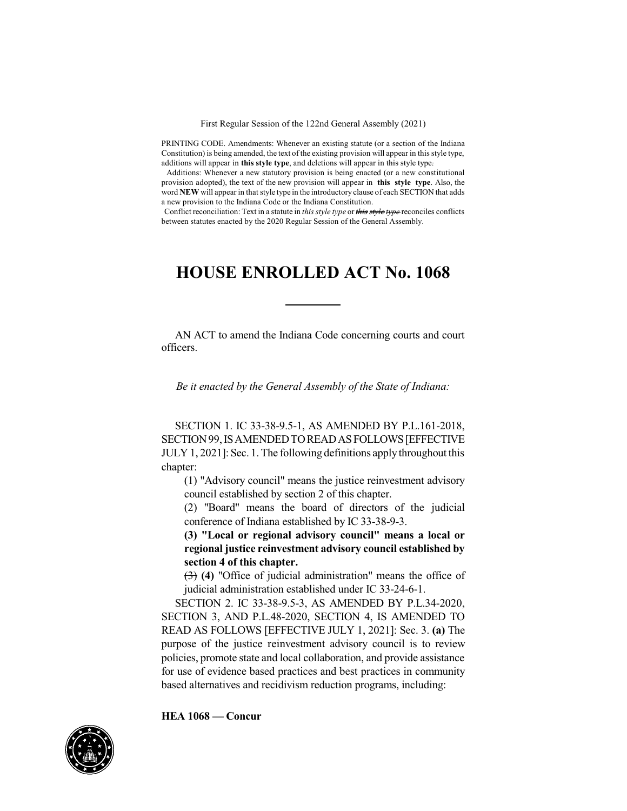First Regular Session of the 122nd General Assembly (2021)

PRINTING CODE. Amendments: Whenever an existing statute (or a section of the Indiana Constitution) is being amended, the text of the existing provision will appear in this style type, additions will appear in **this style type**, and deletions will appear in this style type.

Additions: Whenever a new statutory provision is being enacted (or a new constitutional provision adopted), the text of the new provision will appear in **this style type**. Also, the word NEW will appear in that style type in the introductory clause of each SECTION that adds a new provision to the Indiana Code or the Indiana Constitution.

Conflict reconciliation: Text in a statute in *this style type* or *this style type* reconciles conflicts between statutes enacted by the 2020 Regular Session of the General Assembly.

## **HOUSE ENROLLED ACT No. 1068**

AN ACT to amend the Indiana Code concerning courts and court officers.

*Be it enacted by the General Assembly of the State of Indiana:*

SECTION 1. IC 33-38-9.5-1, AS AMENDED BY P.L.161-2018, SECTION99,ISAMENDEDTOREADASFOLLOWS[EFFECTIVE JULY 1, 2021]: Sec. 1. The following definitions applythroughout this chapter:

(1) "Advisory council" means the justice reinvestment advisory council established by section 2 of this chapter.

(2) "Board" means the board of directors of the judicial conference of Indiana established by IC 33-38-9-3.

**(3) "Local or regional advisory council" means a local or regional justice reinvestment advisory council established by section 4 of this chapter.**

(3) **(4)** "Office of judicial administration" means the office of judicial administration established under IC 33-24-6-1.

SECTION 2. IC 33-38-9.5-3, AS AMENDED BY P.L.34-2020, SECTION 3, AND P.L.48-2020, SECTION 4, IS AMENDED TO READ AS FOLLOWS [EFFECTIVE JULY 1, 2021]: Sec. 3. **(a)** The purpose of the justice reinvestment advisory council is to review policies, promote state and local collaboration, and provide assistance for use of evidence based practices and best practices in community based alternatives and recidivism reduction programs, including:

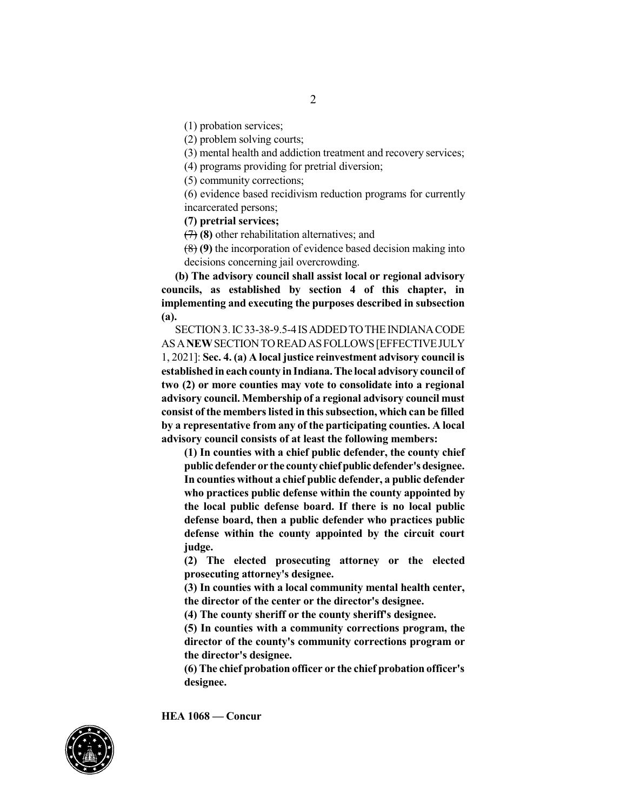(1) probation services;

(2) problem solving courts;

(3) mental health and addiction treatment and recovery services;

(4) programs providing for pretrial diversion;

(5) community corrections;

(6) evidence based recidivism reduction programs for currently incarcerated persons;

**(7) pretrial services;**

(7) **(8)** other rehabilitation alternatives; and

(8) **(9)** the incorporation of evidence based decision making into decisions concerning jail overcrowding.

**(b) The advisory council shall assist local or regional advisory councils, as established by section 4 of this chapter, in implementing and executing the purposes described in subsection (a).**

SECTION3.IC33-38-9.5-4 ISADDEDTOTHEINDIANACODE ASA**NEW**SECTIONTOREADASFOLLOWS[EFFECTIVEJULY 1, 2021]: **Sec. 4. (a) A local justice reinvestment advisory council is established in eachcounty inIndiana.The local advisory council of two (2) or more counties may vote to consolidate into a regional advisory council. Membership of a regional advisory council must consist of the memberslisted in thissubsection, which can be filled by a representative from any of the participating counties. A local advisory council consists of at least the following members:**

**(1) In counties with a chief public defender, the county chief publicdefender or the countychiefpublicdefender'sdesignee. In counties without a chief public defender, a public defender who practices public defense within the county appointed by the local public defense board. If there is no local public defense board, then a public defender who practices public defense within the county appointed by the circuit court judge.**

**(2) The elected prosecuting attorney or the elected prosecuting attorney's designee.**

**(3) In counties with a local community mental health center, the director of the center or the director's designee.**

**(4) The county sheriff or the county sheriff's designee.**

**(5) In counties with a community corrections program, the director of the county's community corrections program or the director's designee.**

**(6) The chief probation officer or the chief probation officer's designee.**

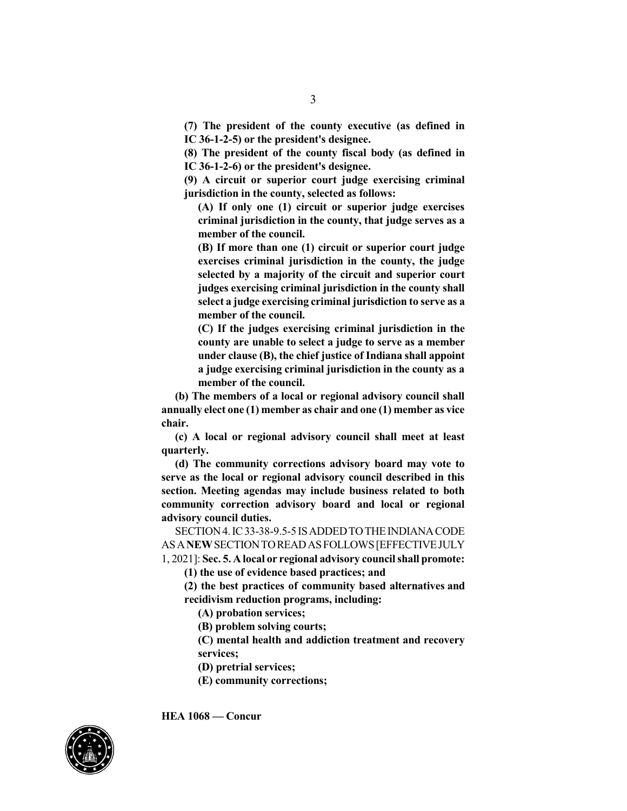**(7) The president of the county executive (as defined in IC 36-1-2-5) or the president's designee.**

**(8) The president of the county fiscal body (as defined in IC 36-1-2-6) or the president's designee.**

**(9) A circuit or superior court judge exercising criminal jurisdiction in the county, selected as follows:**

**(A) If only one (1) circuit or superior judge exercises criminal jurisdiction in the county, that judge serves as a member of the council.**

**(B) If more than one (1) circuit or superior court judge exercises criminal jurisdiction in the county, the judge selected by a majority of the circuit and superior court judges exercising criminal jurisdiction in the county shall select a judge exercising criminal jurisdiction to serve as a member of the council.**

**(C) If the judges exercising criminal jurisdiction in the county are unable to select a judge to serve as a member under clause (B), the chief justice of Indiana shall appoint a judge exercising criminal jurisdiction in the county as a member of the council.**

**(b) The members of a local or regional advisory council shall annually elect one (1) member as chair and one (1) member as vice chair.**

**(c) A local or regional advisory council shall meet at least quarterly.**

**(d) The community corrections advisory board may vote to serve as the local or regional advisory council described in this section. Meeting agendas may include business related to both community correction advisory board and local or regional advisory council duties.**

SECTION4.IC33-38-9.5-5 ISADDEDTOTHEINDIANACODE ASA**NEW**SECTIONTOREADASFOLLOWS[EFFECTIVEJULY 1, 2021]: **Sec. 5. A local or regional advisory councilshall promote:**

**(1) the use of evidence based practices; and**

**(2) the best practices of community based alternatives and recidivism reduction programs, including:**

**(A) probation services;**

**(B) problem solving courts;**

**(C) mental health and addiction treatment and recovery services;**

**(D) pretrial services;**

**(E) community corrections;**

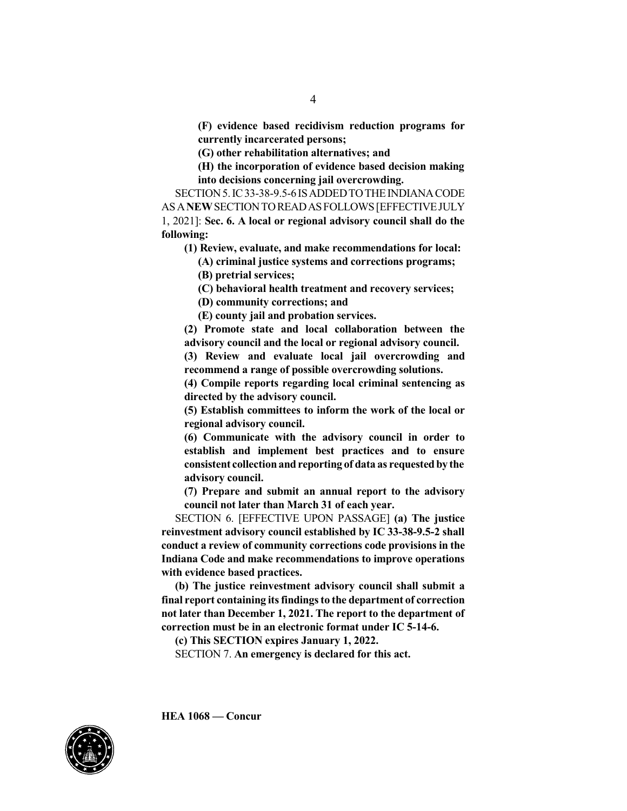**(F) evidence based recidivism reduction programs for currently incarcerated persons;**

**(G) other rehabilitation alternatives; and**

**(H) the incorporation of evidence based decision making into decisions concerning jail overcrowding.**

SECTION 5. IC33-38-9.5-6 IS ADDED TO THE INDIANA CODE ASA**NEW**SECTIONTOREADASFOLLOWS[EFFECTIVEJULY 1, 2021]: **Sec. 6. A local or regional advisory council shall do the following:**

**(1) Review, evaluate, and make recommendations for local:**

**(A) criminal justice systems and corrections programs;**

**(B) pretrial services;**

**(C) behavioral health treatment and recovery services;**

**(D) community corrections; and**

**(E) county jail and probation services.**

**(2) Promote state and local collaboration between the advisory council and the local or regional advisory council.**

**(3) Review and evaluate local jail overcrowding and recommend a range of possible overcrowding solutions.**

**(4) Compile reports regarding local criminal sentencing as directed by the advisory council.**

**(5) Establish committees to inform the work of the local or regional advisory council.**

**(6) Communicate with the advisory council in order to establish and implement best practices and to ensure consistent collectionandreporting of data as requestedby the advisory council.**

**(7) Prepare and submit an annual report to the advisory council not later than March 31 of each year.**

SECTION 6. [EFFECTIVE UPON PASSAGE] **(a) The justice reinvestment advisory council established by IC 33-38-9.5-2 shall conduct a review of community corrections code provisions in the Indiana Code and make recommendations to improve operations with evidence based practices.**

**(b) The justice reinvestment advisory council shall submit a final report containing itsfindingsto the department of correction not later than December 1, 2021. The report to the department of correction must be in an electronic format under IC 5-14-6.**

**(c) This SECTION expires January 1, 2022.**

SECTION 7. **An emergency is declared for this act.**